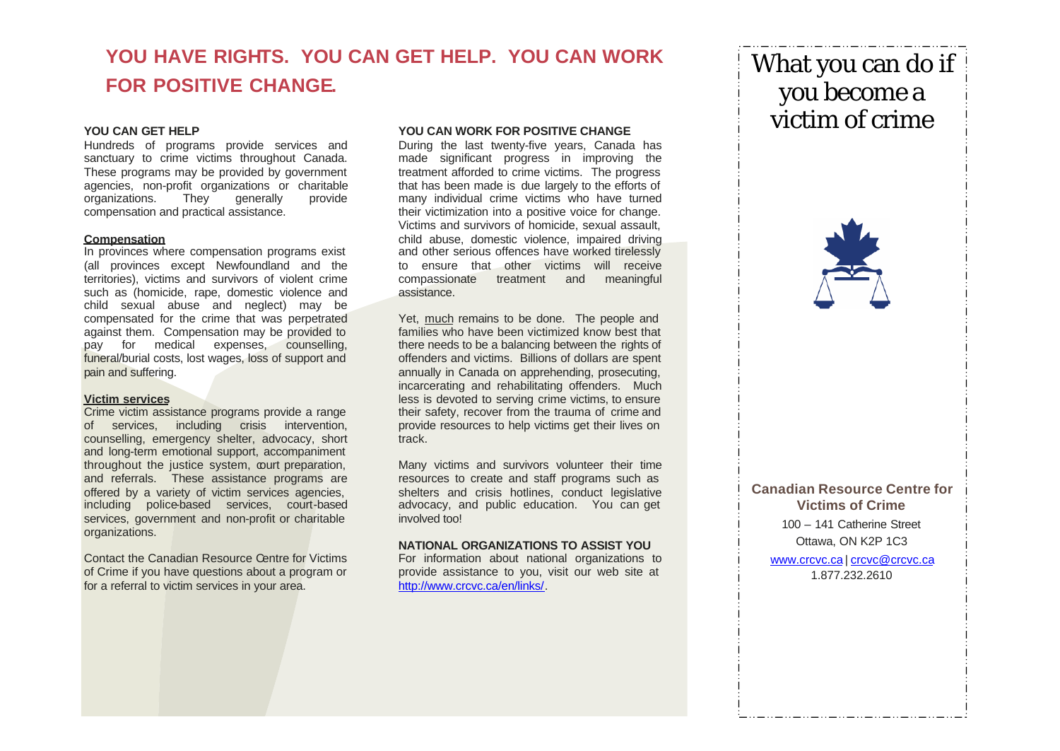# **YOU HAVE RIGHTS. YOU CAN GET HELP. YOU CAN WORK FOR POSITIVE CHANGE.**

## **YOU CAN GET HELP**

Hundreds of programs provide services and sanctuary to crime victims throughout Canada. These programs may be provided by government agencies, non-profit organizations or charitable organizations. They generally provide compensation and practical assistance.

#### **Compensation**

In provinces where compensation programs exist (all provinces except Newfoundland and the territories), victims and survivors of violent crime such as (homicide, rape, domestic violence and child sexual abuse and neglect) may be compensated for the crime that was perpetrated against them. Compensation may be provided to pay for medical expenses, counselling, funeral/burial costs, lost wages, loss of support and pain and suffering.

#### **Victim services**

Crime victim assistance programs provide a range of services, including crisis intervention, counselling, emergency shelter, advocacy, short and long-term emotional support, accompaniment throughout the justice system, court preparation, and referrals. These assistance programs are offered by a variety of victim services agencies, including police-based services, court-based services, government and non-profit or charitable organizations.

Contact the Canadian Resource Centre for Victims of Crime if you have questions about a program or for a referral to victim services in your area.

## **YOU CAN WORK FOR POSITIVE CHANGE**

During the last twenty-five years, Canada has made significant progress in improving the treatment afforded to crime victims. The progress that has been made is due largely to the efforts of many individual crime victims who have turned their victimization into a positive voice for change. Victims and survivors of homicide, sexual assault, child abuse, domestic violence, impaired driving and other serious offences have worked tirelessly to ensure that other victims will receive compassionate treatment and meaningful assistance.

Yet, much remains to be done. The people and families who have been victimized know best that there needs to be a balancing between the rights of offenders and victims. Billions of dollars are spent annually in Canada on apprehending, prosecuting, incarcerating and rehabilitating offenders. Much less is devoted to serving crime victims, to ensure their safety, recover from the trauma of crime and provide resources to help victims get their lives on track.

Many victims and survivors volunteer their time resources to create and staff programs such as shelters and crisis hotlines, conduct legislative advocacy, and public education. You can get involved too!

## **NATIONAL ORGANIZATIONS TO ASSIST YOU**

For information about national organizations to provide assistance to you, visit our web site at http://www.crcvc.ca/en/links/.

# What you can do if you become a victim of crime



**Canadian Resource Centre for Victims of Crime** 100 – 141 Catherine Street Ottawa, ON K2P 1C3 www.crcvc.ca | crcvc@crcvc.ca 1.877.232.2610